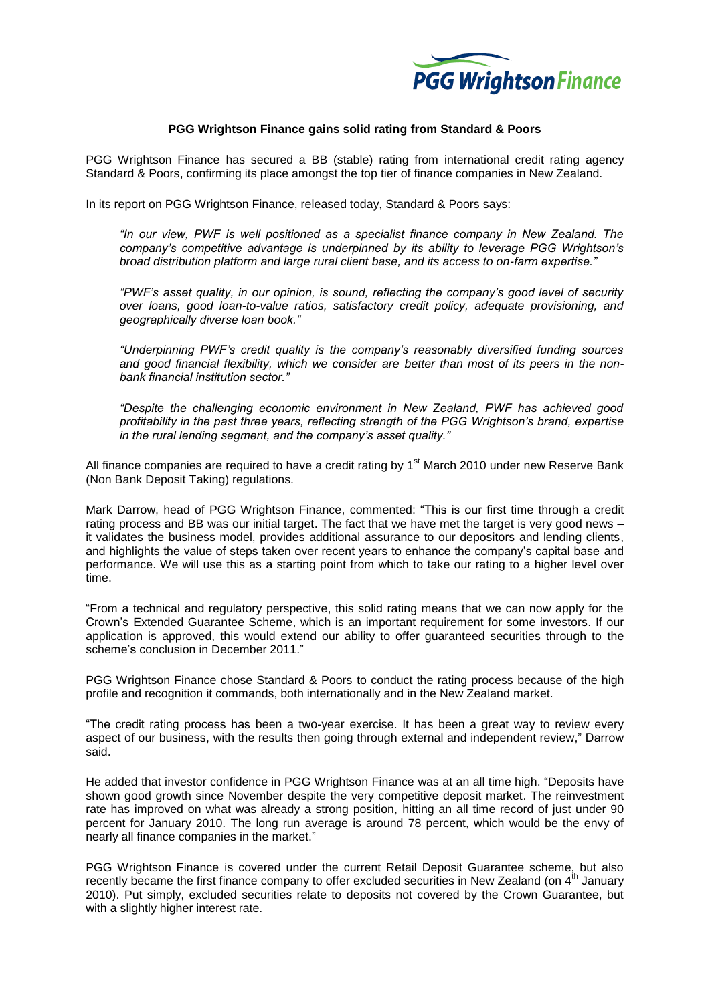

## **PGG Wrightson Finance gains solid rating from Standard & Poors**

PGG Wrightson Finance has secured a BB (stable) rating from international credit rating agency Standard & Poors, confirming its place amongst the top tier of finance companies in New Zealand.

In its report on PGG Wrightson Finance, released today, Standard & Poors says:

*"In our view, PWF is well positioned as a specialist finance company in New Zealand. The company's competitive advantage is underpinned by its ability to leverage PGG Wrightson's broad distribution platform and large rural client base, and its access to on-farm expertise."*

*"PWF's asset quality, in our opinion, is sound, reflecting the company's good level of security over loans, good loan-to-value ratios, satisfactory credit policy, adequate provisioning, and geographically diverse loan book."*

*"Underpinning PWF's credit quality is the company's reasonably diversified funding sources and good financial flexibility, which we consider are better than most of its peers in the nonbank financial institution sector."*

*"Despite the challenging economic environment in New Zealand, PWF has achieved good profitability in the past three years, reflecting strength of the PGG Wrightson's brand, expertise in the rural lending segment, and the company's asset quality."*

All finance companies are required to have a credit rating by  $1<sup>st</sup>$  March 2010 under new Reserve Bank (Non Bank Deposit Taking) regulations.

Mark Darrow, head of PGG Wrightson Finance, commented: "This is our first time through a credit rating process and BB was our initial target. The fact that we have met the target is very good news – it validates the business model, provides additional assurance to our depositors and lending clients, and highlights the value of steps taken over recent years to enhance the company's capital base and performance. We will use this as a starting point from which to take our rating to a higher level over time.

"From a technical and regulatory perspective, this solid rating means that we can now apply for the Crown's Extended Guarantee Scheme, which is an important requirement for some investors. If our application is approved, this would extend our ability to offer guaranteed securities through to the scheme's conclusion in December 2011."

PGG Wrightson Finance chose Standard & Poors to conduct the rating process because of the high profile and recognition it commands, both internationally and in the New Zealand market.

"The credit rating process has been a two-year exercise. It has been a great way to review every aspect of our business, with the results then going through external and independent review," Darrow said.

He added that investor confidence in PGG Wrightson Finance was at an all time high. "Deposits have shown good growth since November despite the very competitive deposit market. The reinvestment rate has improved on what was already a strong position, hitting an all time record of just under 90 percent for January 2010. The long run average is around 78 percent, which would be the envy of nearly all finance companies in the market."

PGG Wrightson Finance is covered under the current Retail Deposit Guarantee scheme, but also recently became the first finance company to offer excluded securities in New Zealand (on  $4<sup>th</sup>$  January 2010). Put simply, excluded securities relate to deposits not covered by the Crown Guarantee, but with a slightly higher interest rate.